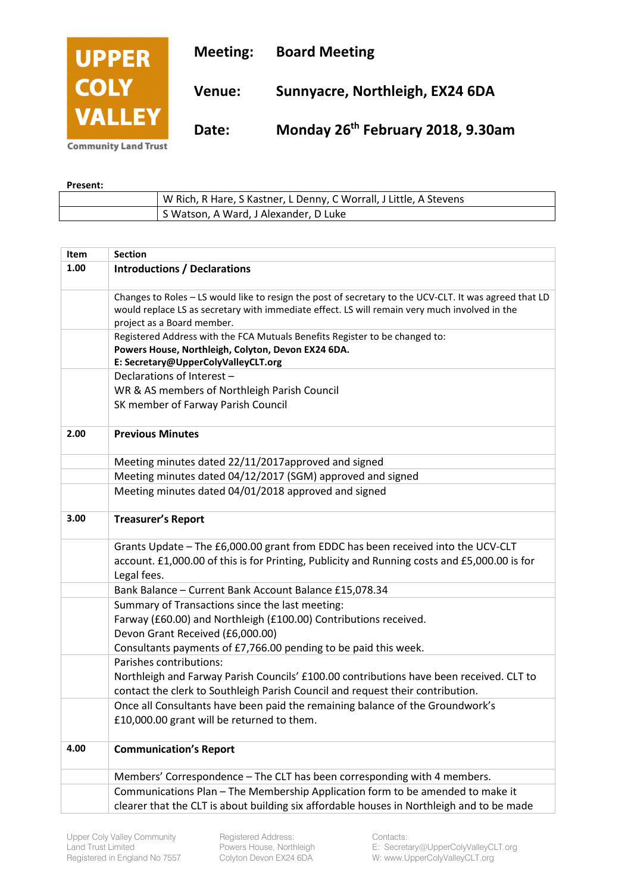| <b>UPPER</b>  | <b>Meeting:</b> | <b>Board Meeting</b>                          |
|---------------|-----------------|-----------------------------------------------|
| <b>COLY</b>   | <b>Venue:</b>   | Sunnyacre, Northleigh, EX24 6DA               |
| <b>VALLEY</b> | Date:           | Monday 26 <sup>th</sup> February 2018, 9.30am |

**Community Land Trust** 

## **Present:**

| W Rich, R Hare, S Kastner, L Denny, C Worrall, J Little, A Stevens |
|--------------------------------------------------------------------|
| S Watson, A Ward, J Alexander, D Luke                              |

| Item | <b>Section</b>                                                                                                                                                                                                                        |
|------|---------------------------------------------------------------------------------------------------------------------------------------------------------------------------------------------------------------------------------------|
| 1.00 | <b>Introductions / Declarations</b>                                                                                                                                                                                                   |
|      | Changes to Roles - LS would like to resign the post of secretary to the UCV-CLT. It was agreed that LD<br>would replace LS as secretary with immediate effect. LS will remain very much involved in the<br>project as a Board member. |
|      | Registered Address with the FCA Mutuals Benefits Register to be changed to:<br>Powers House, Northleigh, Colyton, Devon EX24 6DA.<br>E: Secretary@UpperColyValleyCLT.org                                                              |
|      | Declarations of Interest -<br>WR & AS members of Northleigh Parish Council<br>SK member of Farway Parish Council                                                                                                                      |
| 2.00 | <b>Previous Minutes</b>                                                                                                                                                                                                               |
|      | Meeting minutes dated 22/11/2017approved and signed                                                                                                                                                                                   |
|      | Meeting minutes dated 04/12/2017 (SGM) approved and signed                                                                                                                                                                            |
|      | Meeting minutes dated 04/01/2018 approved and signed                                                                                                                                                                                  |
| 3.00 | <b>Treasurer's Report</b>                                                                                                                                                                                                             |
|      | Grants Update - The £6,000.00 grant from EDDC has been received into the UCV-CLT<br>account. £1,000.00 of this is for Printing, Publicity and Running costs and £5,000.00 is for<br>Legal fees.                                       |
|      | Bank Balance - Current Bank Account Balance £15,078.34                                                                                                                                                                                |
|      | Summary of Transactions since the last meeting:<br>Farway (£60.00) and Northleigh (£100.00) Contributions received.<br>Devon Grant Received (£6,000.00)<br>Consultants payments of £7,766.00 pending to be paid this week.            |
|      | Parishes contributions:<br>Northleigh and Farway Parish Councils' £100.00 contributions have been received. CLT to<br>contact the clerk to Southleigh Parish Council and request their contribution.                                  |
|      | Once all Consultants have been paid the remaining balance of the Groundwork's<br>£10,000.00 grant will be returned to them.                                                                                                           |
| 4.00 | <b>Communication's Report</b>                                                                                                                                                                                                         |
|      | Members' Correspondence - The CLT has been corresponding with 4 members.                                                                                                                                                              |
|      | Communications Plan - The Membership Application form to be amended to make it<br>clearer that the CLT is about building six affordable houses in Northleigh and to be made                                                           |